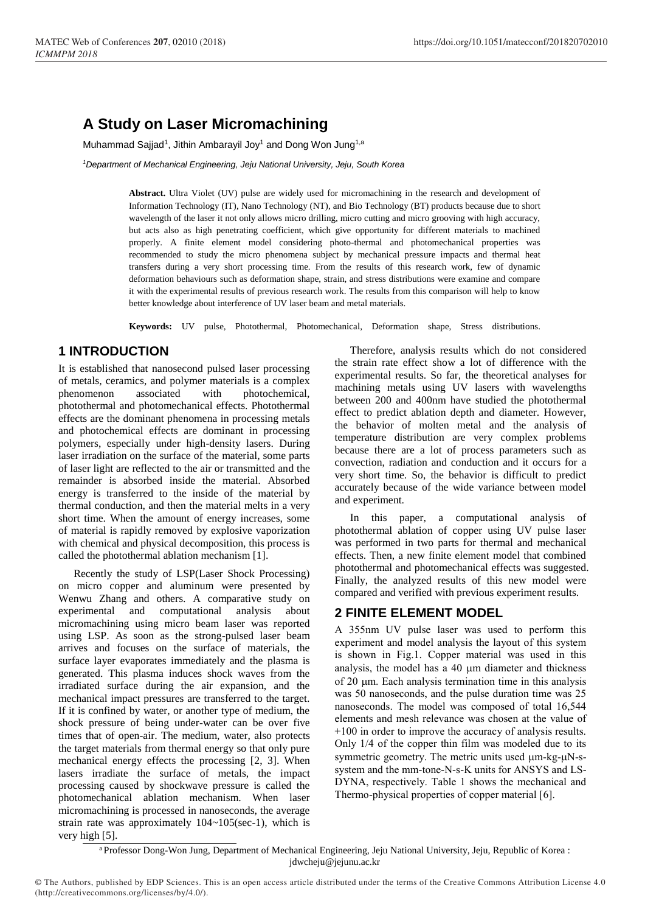# **A Study on Laser Micromachining**

Muhammad Sajjad<sup>1</sup>, Jithin Ambarayil Joy<sup>1</sup> and Dong Won Jung<sup>1,a</sup>

*<sup>1</sup>Department of Mechanical Engineering, Jeju National University, Jeju, South Korea*

**Abstract.** Ultra Violet (UV) pulse are widely used for micromachining in the research and development of Information Technology (IT), Nano Technology (NT), and Bio Technology (BT) products because due to short wavelength of the laser it not only allows micro drilling, micro cutting and micro grooving with high accuracy, but acts also as high penetrating coefficient, which give opportunity for different materials to machined properly. A finite element model considering photo-thermal and photomechanical properties was recommended to study the micro phenomena subject by mechanical pressure impacts and thermal heat transfers during a very short processing time. From the results of this research work, few of dynamic deformation behaviours such as deformation shape, strain, and stress distributions were examine and compare it with the experimental results of previous research work. The results from this comparison will help to know better knowledge about interference of UV laser beam and metal materials.

**Keywords:** UV pulse, Photothermal, Photomechanical, Deformation shape, Stress distributions.

# **1 INTRODUCTION**

It is established that nanosecond pulsed laser processing of metals, ceramics, and polymer materials is a complex phenomenon associated with photochemical, photothermal and photomechanical effects. Photothermal effects are the dominant phenomena in processing metals and photochemical effects are dominant in processing polymers, especially under high-density lasers. During laser irradiation on the surface of the material, some parts of laser light are reflected to the air or transmitted and the remainder is absorbed inside the material. Absorbed energy is transferred to the inside of the material by thermal conduction, and then the material melts in a very short time. When the amount of energy increases, some of material is rapidly removed by explosive vaporization with chemical and physical decomposition, this process is called the photothermal ablation mechanism [1].

Recently the study of LSP(Laser Shock Processing) on micro copper and aluminum were presented by Wenwu Zhang and others. A comparative study on experimental and computational analysis about micromachining using micro beam laser was reported using LSP. As soon as the strong-pulsed laser beam arrives and focuses on the surface of materials, the surface layer evaporates immediately and the plasma is generated. This plasma induces shock waves from the irradiated surface during the air expansion, and the mechanical impact pressures are transferred to the target. If it is confined by water, or another type of medium, the shock pressure of being under-water can be over five times that of open-air. The medium, water, also protects the target materials from thermal energy so that only pure mechanical energy effects the processing [2, 3]. When lasers irradiate the surface of metals, the impact processing caused by shockwave pressure is called the photomechanical ablation mechanism. When laser micromachining is processed in nanoseconds, the average strain rate was approximately 104~105(sec-1), which is very high [5].

Therefore, analysis results which do not considered the strain rate effect show a lot of difference with the experimental results. So far, the theoretical analyses for machining metals using UV lasers with wavelengths between 200 and 400nm have studied the photothermal effect to predict ablation depth and diameter. However, the behavior of molten metal and the analysis of temperature distribution are very complex problems because there are a lot of process parameters such as convection, radiation and conduction and it occurs for a very short time. So, the behavior is difficult to predict accurately because of the wide variance between model and experiment.

In this paper, a computational analysis of photothermal ablation of copper using UV pulse laser was performed in two parts for thermal and mechanical effects. Then, a new finite element model that combined photothermal and photomechanical effects was suggested. Finally, the analyzed results of this new model were compared and verified with previous experiment results.

# **2 FINITE ELEMENT MODEL**

A 355nm UV pulse laser was used to perform this experiment and model analysis the layout of this system is shown in Fig.1. Copper material was used in this analysis, the model has a 40 µm diameter and thickness of 20 µm. Each analysis termination time in this analysis was 50 nanoseconds, and the pulse duration time was 25 nanoseconds. The model was composed of total 16,544 elements and mesh relevance was chosen at the value of +100 in order to improve the accuracy of analysis results. Only 1/4 of the copper thin film was modeled due to its symmetric geometry. The metric units used  $\mu$ m-kg- $\mu$ N-ssystem and the mm-tone-N-s-K units for ANSYS and LS-DYNA, respectively. Table 1 shows the mechanical and Thermo-physical properties of copper material [6].

<sup>a</sup> Professor Dong-Won Jung, Department of Mechanical Engineering, Jeju National University, Jeju, Republic of Korea : jdwcheju@jejunu.ac.kr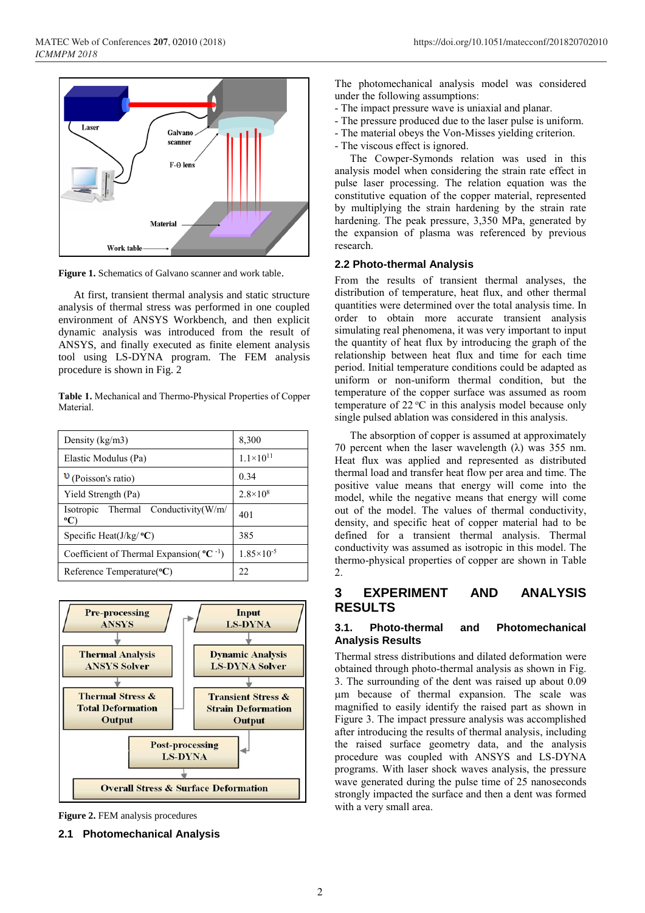

**Figure 1.** Schematics of Galvano scanner and work table.

At first, transient thermal analysis and static structure analysis of thermal stress was performed in one coupled environment of ANSYS Workbench, and then explicit dynamic analysis was introduced from the result of ANSYS, and finally executed as finite element analysis tool using LS-DYNA program. The FEM analysis procedure is shown in Fig. 2

|           | Table 1. Mechanical and Thermo-Physical Properties of Copper |
|-----------|--------------------------------------------------------------|
| Material. |                                                              |

| Density ( $kg/m3$ )                                            | 8,300                 |
|----------------------------------------------------------------|-----------------------|
| Elastic Modulus (Pa)                                           | $1.1 \times 10^{11}$  |
| $\mathbf{v}$ (Poisson's ratio)                                 | 0.34                  |
| Yield Strength (Pa)                                            | $2.8 \times 10^8$     |
| Thermal Conductivity $\frac{W}{m}$<br>Isotropic<br>$\rm ^{o}C$ | 401                   |
| Specific Heat( $J/kg$ $^oC$ )                                  | 385                   |
| Coefficient of Thermal Expansion( ${}^{\circ}C^{-1}$ )         | $1.85 \times 10^{-5}$ |
| Reference Temperature( ${}^{\circ}C$ )                         | 22                    |



**Figure 2.** FEM analysis procedures

**2.1 Photomechanical Analysis**

The photomechanical analysis model was considered under the following assumptions:

- The impact pressure wave is uniaxial and planar.
- The pressure produced due to the laser pulse is uniform.
- The material obeys the Von-Misses yielding criterion.
- The viscous effect is ignored.

The Cowper-Symonds relation was used in this analysis model when considering the strain rate effect in pulse laser processing. The relation equation was the constitutive equation of the copper material, represented by multiplying the strain hardening by the strain rate hardening. The peak pressure, 3,350 MPa, generated by the expansion of plasma was referenced by previous research.

#### **2.2 Photo-thermal Analysis**

From the results of transient thermal analyses, the distribution of temperature, heat flux, and other thermal quantities were determined over the total analysis time. In order to obtain more accurate transient analysis simulating real phenomena, it was very important to input the quantity of heat flux by introducing the graph of the relationship between heat flux and time for each time period. Initial temperature conditions could be adapted as uniform or non-uniform thermal condition, but the temperature of the copper surface was assumed as room temperature of  $22^{\circ}$ C in this analysis model because only single pulsed ablation was considered in this analysis.

The absorption of copper is assumed at approximately 70 percent when the laser wavelength  $(\lambda)$  was 355 nm. Heat flux was applied and represented as distributed thermal load and transfer heat flow per area and time. The positive value means that energy will come into the model, while the negative means that energy will come out of the model. The values of thermal conductivity, density, and specific heat of copper material had to be defined for a transient thermal analysis. Thermal conductivity was assumed as isotropic in this model. The thermo-physical properties of copper are shown in Table 2.

## **3 EXPERIMENT AND ANALYSIS RESULTS**

#### **3.1. Photo-thermal and Photomechanical Analysis Results**

Thermal stress distributions and dilated deformation were obtained through photo-thermal analysis as shown in Fig. 3. The surrounding of the dent was raised up about 0.09 m because of thermal expansion. The scale was magnified to easily identify the raised part as shown in Figure 3. The impact pressure analysis was accomplished after introducing the results of thermal analysis, including the raised surface geometry data, and the analysis procedure was coupled with ANSYS and LS-DYNA programs. With laser shock waves analysis, the pressure wave generated during the pulse time of 25 nanoseconds strongly impacted the surface and then a dent was formed with a very small area.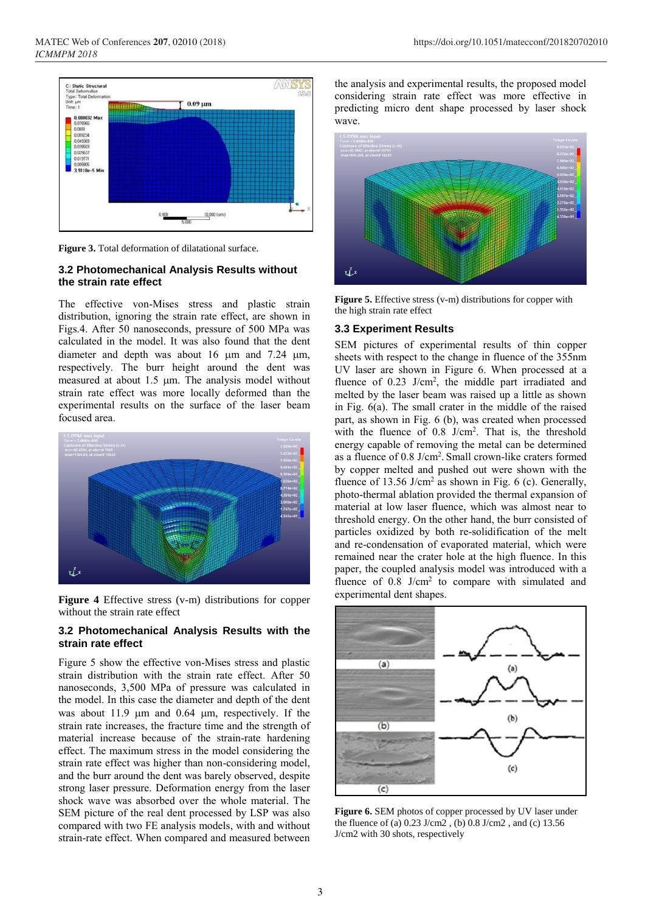

**Figure 3.** Total deformation of dilatational surface.

#### **3.2 Photomechanical Analysis Results without the strain rate effect**

The effective von-Mises stress and plastic strain distribution, ignoring the strain rate effect, are shown in Figs.4. After 50 nanoseconds, pressure of 500 MPa was calculated in the model. It was also found that the dent diameter and depth was about 16  $\mu$ m and 7.24  $\mu$ m, respectively. The burr height around the dent was measured at about 1.5 µm. The analysis model without strain rate effect was more locally deformed than the experimental results on the surface of the laser beam focused area.



**Figure 4** Effective stress (v-m) distributions for copper without the strain rate effect

#### **3.2 Photomechanical Analysis Results with the strain rate effect**

Figure 5 show the effective von-Mises stress and plastic strain distribution with the strain rate effect. After 50 nanoseconds, 3,500 MPa of pressure was calculated in the model. In this case the diameter and depth of the dent was about  $11.9 \mu m$  and  $0.64 \mu m$ , respectively. If the strain rate increases, the fracture time and the strength of material increase because of the strain-rate hardening effect. The maximum stress in the model considering the strain rate effect was higher than non-considering model, and the burr around the dent was barely observed, despite strong laser pressure. Deformation energy from the laser shock wave was absorbed over the whole material. The SEM picture of the real dent processed by LSP was also compared with two FE analysis models, with and without strain-rate effect. When compared and measured between the analysis and experimental results, the proposed model considering strain rate effect was more effective in predicting micro dent shape processed by laser shock wave.



**Figure 5.** Effective stress (v-m) distributions for copper with the high strain rate effect

#### **3.3 Experiment Results**

SEM pictures of experimental results of thin copper sheets with respect to the change in fluence of the 355nm UV laser are shown in Figure 6. When processed at a fluence of 0.23 J/cm<sup>2</sup>, the middle part irradiated and melted by the laser beam was raised up a little as shown in Fig. 6(a). The small crater in the middle of the raised part, as shown in Fig. 6 (b), was created when processed with the fluence of 0.8 J/cm<sup>2</sup> . That is, the threshold energy capable of removing the metal can be determined as a fluence of 0.8 J/cm<sup>2</sup> . Small crown-like craters formed by copper melted and pushed out were shown with the fluence of  $13.56$  J/cm<sup>2</sup> as shown in Fig. 6 (c). Generally, photo-thermal ablation provided the thermal expansion of material at low laser fluence, which was almost near to threshold energy. On the other hand, the burr consisted of particles oxidized by both re-solidification of the melt and re-condensation of evaporated material, which were remained near the crater hole at the high fluence. In this paper, the coupled analysis model was introduced with a fluence of 0.8 J/cm<sup>2</sup> to compare with simulated and experimental dent shapes.



**Figure 6.** SEM photos of copper processed by UV laser under the fluence of (a) 0.23 J/cm2 , (b) 0.8 J/cm2 , and (c) 13.56 J/cm2 with 30 shots, respectively